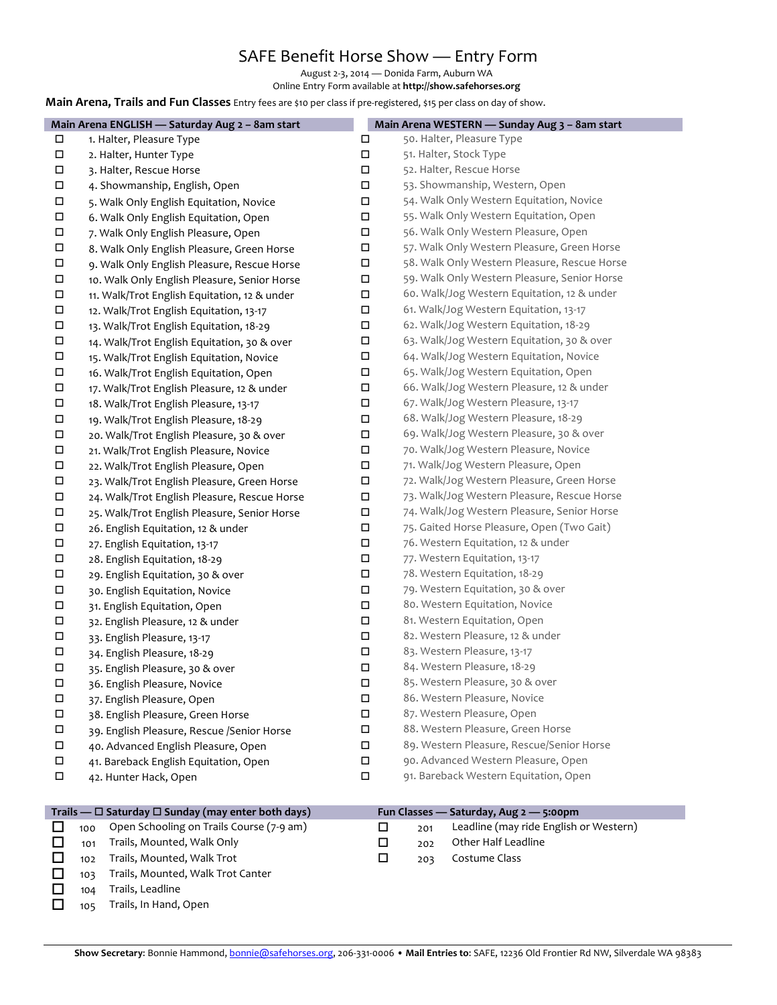## SAFE Benefit Horse Show — Entry Form

August 2-3, 2014 — Donida Farm, Auburn WA

Online Entry Form available at http://show.safehorses.org

#### **Main Arena, Trails and Fun Classes** Entry fees are \$10 per class if pre-registered, \$15 per class on day of show.

|        | Main Arena ENGLISH - Saturday Aug 2 - 8am start |        | Main Arena WESTERN - Sunday Aug 3 - 8am start |
|--------|-------------------------------------------------|--------|-----------------------------------------------|
| □      | 1. Halter, Pleasure Type                        | $\Box$ | 50. Halter, Pleasure Type                     |
| П      | 2. Halter, Hunter Type                          | $\Box$ | 51. Halter, Stock Type                        |
| П      | 3. Halter, Rescue Horse                         | $\Box$ | 52. Halter, Rescue Horse                      |
| $\Box$ | 4. Showmanship, English, Open                   | $\Box$ | 53. Showmanship, Western, Open                |
| П      | 5. Walk Only English Equitation, Novice         | $\Box$ | 54. Walk Only Western Equitation, Novice      |
| П      | 6. Walk Only English Equitation, Open           | $\Box$ | 55. Walk Only Western Equitation, Open        |
| $\Box$ | 7. Walk Only English Pleasure, Open             | $\Box$ | 56. Walk Only Western Pleasure, Open          |
| $\Box$ | 8. Walk Only English Pleasure, Green Horse      | $\Box$ | 57. Walk Only Western Pleasure, Green Horse   |
| $\Box$ | 9. Walk Only English Pleasure, Rescue Horse     | $\Box$ | 58. Walk Only Western Pleasure, Rescue Horse  |
| $\Box$ | 10. Walk Only English Pleasure, Senior Horse    | $\Box$ | 59. Walk Only Western Pleasure, Senior Horse  |
| $\Box$ | 11. Walk/Trot English Equitation, 12 & under    | $\Box$ | 60. Walk/Jog Western Equitation, 12 & under   |
| $\Box$ | 12. Walk/Trot English Equitation, 13-17         | $\Box$ | 61. Walk/Jog Western Equitation, 13-17        |
| П      | 13. Walk/Trot English Equitation, 18-29         | $\Box$ | 62. Walk/Jog Western Equitation, 18-29        |
| П      | 14. Walk/Trot English Equitation, 30 & over     | П      | 63. Walk/Jog Western Equitation, 30 & over    |
| $\Box$ | 15. Walk/Trot English Equitation, Novice        | $\Box$ | 64. Walk/Jog Western Equitation, Novice       |
| $\Box$ | 16. Walk/Trot English Equitation, Open          | $\Box$ | 65. Walk/Jog Western Equitation, Open         |
| П      | 17. Walk/Trot English Pleasure, 12 & under      | $\Box$ | 66. Walk/Jog Western Pleasure, 12 & under     |
| $\Box$ | 18. Walk/Trot English Pleasure, 13-17           | $\Box$ | 67. Walk/Jog Western Pleasure, 13-17          |
| $\Box$ | 19. Walk/Trot English Pleasure, 18-29           | $\Box$ | 68. Walk/Jog Western Pleasure, 18-29          |
| $\Box$ | 20. Walk/Trot English Pleasure, 30 & over       | $\Box$ | 69. Walk/Jog Western Pleasure, 30 & over      |
| $\Box$ | 21. Walk/Trot English Pleasure, Novice          | $\Box$ | 70. Walk/Jog Western Pleasure, Novice         |
| $\Box$ | 22. Walk/Trot English Pleasure, Open            | $\Box$ | 71. Walk/Jog Western Pleasure, Open           |
| $\Box$ | 23. Walk/Trot English Pleasure, Green Horse     | $\Box$ | 72. Walk/Jog Western Pleasure, Green Horse    |
| $\Box$ | 24. Walk/Trot English Pleasure, Rescue Horse    | $\Box$ | 73. Walk/Jog Western Pleasure, Rescue Horse   |
| П      | 25. Walk/Trot English Pleasure, Senior Horse    | $\Box$ | 74. Walk/Jog Western Pleasure, Senior Horse   |
| П      | 26. English Equitation, 12 & under              | $\Box$ | 75. Gaited Horse Pleasure, Open (Two Gait)    |
| $\Box$ | 27. English Equitation, 13-17                   | $\Box$ | 76. Western Equitation, 12 & under            |
| П      | 28. English Equitation, 18-29                   | $\Box$ | 77. Western Equitation, 13-17                 |
| П      | 29. English Equitation, 30 & over               | $\Box$ | 78. Western Equitation, 18-29                 |
| П      | 30. English Equitation, Novice                  | $\Box$ | 79. Western Equitation, 30 & over             |
| П      | 31. English Equitation, Open                    | $\Box$ | 80. Western Equitation, Novice                |
| $\Box$ | 32. English Pleasure, 12 & under                | $\Box$ | 81. Western Equitation, Open                  |
| $\Box$ | 33. English Pleasure, 13-17                     | $\Box$ | 82. Western Pleasure, 12 & under              |
| П      | 34. English Pleasure, 18-29                     | $\Box$ | 83. Western Pleasure, 13-17                   |
| $\Box$ | 35. English Pleasure, 30 & over                 | $\Box$ | 84. Western Pleasure, 18-29                   |
| П      | 36. English Pleasure, Novice                    | □      | 85. Western Pleasure, 30 & over               |
| П      | 37. English Pleasure, Open                      | $\Box$ | 86. Western Pleasure, Novice                  |
| $\Box$ | 38. English Pleasure, Green Horse               | $\Box$ | 87. Western Pleasure, Open                    |
| П      | 39. English Pleasure, Rescue /Senior Horse      | $\Box$ | 88. Western Pleasure, Green Horse             |
| $\Box$ | 40. Advanced English Pleasure, Open             | $\Box$ | 89. Western Pleasure, Rescue/Senior Horse     |
| $\Box$ | 41. Bareback English Equitation, Open           | $\Box$ | 90. Advanced Western Pleasure, Open           |
| $\Box$ | 42. Hunter Hack, Open                           | $\Box$ | 91. Bareback Western Equitation, Open         |

| Trails — $\Box$ Saturday $\Box$ Sunday (may enter both days) |     |                                              | Fun Classes — Saturday, Aug 2 — 5:00pm |     |                                        |
|--------------------------------------------------------------|-----|----------------------------------------------|----------------------------------------|-----|----------------------------------------|
| $\Box$                                                       |     | 100 Open Schooling on Trails Course (7-9 am) | $\Box$                                 | 201 | Leadline (may ride English or Western) |
| П                                                            | 101 | Trails, Mounted, Walk Only                   |                                        | 202 | Other Half Leadline                    |
| П                                                            | 102 | Trails, Mounted, Walk Trot                   |                                        | 203 | Costume Class                          |
| $\perp$                                                      | 103 | Trails, Mounted, Walk Trot Canter            |                                        |     |                                        |
| ⊔                                                            | 104 | Trails, Leadline                             |                                        |     |                                        |

104 Trails, Leadline  $\Box$  105 Trails, In Hand, Open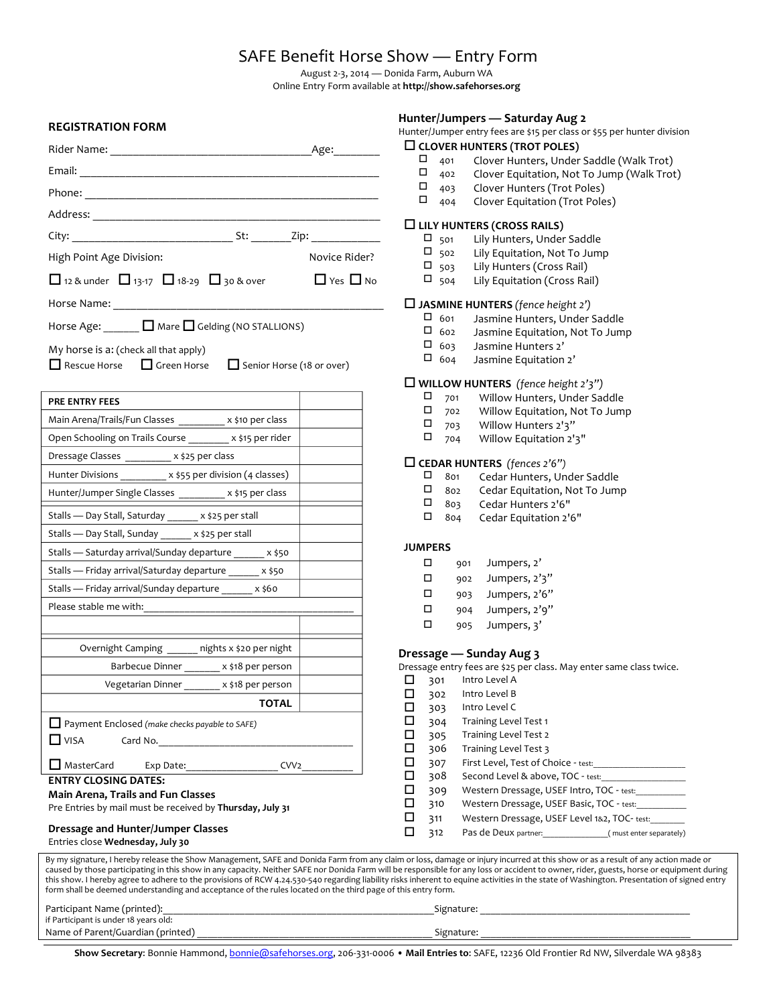## SAFE Benefit Horse Show - Entry Form

August 2-3, 2014 — Donida Farm, Auburn WA

Online Entry Form available at http://show.safehorses.org

#### **REGISTRATION FORM**

|                                                                                                   |  | Age: and the set of the set of the set of the set of the set of the set of the set of the set of the set of th |  |  |
|---------------------------------------------------------------------------------------------------|--|----------------------------------------------------------------------------------------------------------------|--|--|
|                                                                                                   |  |                                                                                                                |  |  |
|                                                                                                   |  |                                                                                                                |  |  |
|                                                                                                   |  |                                                                                                                |  |  |
|                                                                                                   |  |                                                                                                                |  |  |
| High Point Age Division:                                                                          |  | Novice Rider?                                                                                                  |  |  |
| 12 & under $\Box$ 13-17 $\Box$ 18-29 $\Box$ 30 & over<br>$\Box$ Yes $\Box$ No                     |  |                                                                                                                |  |  |
|                                                                                                   |  |                                                                                                                |  |  |
| Horse Age: $\Box$ Mare $\Box$ Gelding (NO STALLIONS)                                              |  |                                                                                                                |  |  |
| My horse is a: (check all that apply)<br>■ Rescue Horse ■ Green Horse ■ Senior Horse (18 or over) |  |                                                                                                                |  |  |
| <b>PRE ENTRY FEES</b>                                                                             |  |                                                                                                                |  |  |
| Main Arena/Trails/Fun Classes x \$10 per class                                                    |  |                                                                                                                |  |  |

| Main Arena/Trails/Fun Classes __________ x \$10 per class         |                                              |                                                  |  |
|-------------------------------------------------------------------|----------------------------------------------|--------------------------------------------------|--|
| Open Schooling on Trails Course _______ x \$15 per rider          |                                              |                                                  |  |
|                                                                   | Dressage Classes __________ x \$25 per class |                                                  |  |
| Hunter Divisions __________ x \$55 per division (4 classes)       |                                              |                                                  |  |
| Hunter/Jumper Single Classes _________ x \$15 per class           |                                              |                                                  |  |
| Stalls - Day Stall, Saturday ______ x \$25 per stall              |                                              |                                                  |  |
| Stalls - Day Stall, Sunday ______ x \$25 per stall                |                                              |                                                  |  |
| Stalls - Saturday arrival/Sunday departure ______ x \$50          |                                              |                                                  |  |
| Stalls - Friday arrival/Saturday departure ______ x \$50          |                                              |                                                  |  |
| Stalls - Friday arrival/Sunday departure ______ x \$60            |                                              |                                                  |  |
| Please stable me with:                                            |                                              |                                                  |  |
|                                                                   |                                              |                                                  |  |
|                                                                   |                                              | Overnight Camping ______ nights x \$20 per night |  |
|                                                                   |                                              | Barbecue Dinner x \$18 per person                |  |
|                                                                   |                                              | Vegetarian Dinner x \$18 per person              |  |
|                                                                   |                                              | <b>TOTAL</b>                                     |  |
| Payment Enclosed (make checks payable to SAFE)                    |                                              |                                                  |  |
|                                                                   |                                              |                                                  |  |
| MasterCard Exp Date:                                              |                                              | CVV <sub>2</sub>                                 |  |
| <b>ENTRY CLOSING DATES:</b><br>Main Arena, Trails and Fun Classes |                                              |                                                  |  |

#### Pre Entries by mail must be received by Thursday, July 31

### **Dressage and Hunter/Jumper Classes**

#### Entries close **Wednesday, July 30**

By my signature, I hereby release the Show Management, SAFE and Donida Farm from any claim or loss, damage or injury incurred at this show or as a result of any action made or caused by those participating in this show in any capacity. Neither SAFE nor Donida Farm will be responsible for any loss or accident to owner, rider, guests, horse or equipment during

this show. I hereby agree to adhere to the provisions of RCW 4.24.530-540 regarding liability risks inherent to equine activities in the state of Washington. Presentation of signed entry form shall be deemed understanding and acceptance of the rules located on the third page of this entry form.

| Parti<br>orin.<br>``                                                |              |
|---------------------------------------------------------------------|--------------|
| $+$ D <sub>2</sub> $-$<br>undei                                     |              |
| Name<br>.<br>тптес<br>urai<br>`<br>___________________<br>_________ | ۱۵۳.<br>dlli |

**Hunter/Jumpers — Saturday Aug 2**

Hunter/Jumper entry fees are \$15 per class or \$55 per hunter division

#### **CLOVER HUNTERS (TROT POLES)**

- $\Box$  401 Clover Hunters, Under Saddle (Walk Trot)<br> $\Box$  402 Clover Fquitation. Not To Jump (Walk Trot
- $\Box$  402 Clover Equitation, Not To Jump (Walk Trot)<br> $\Box$  403 Clover Hunters (Trot Poles)
- $\Box$  403 Clover Hunters (Trot Poles)<br> $\Box$  404 Clover Fquitation (Trot Pole
- 404 Clover Equitation (Trot Poles)

#### □ LILY HUNTERS (CROSS RAILS)

- $\square$  501 Lily Hunters, Under Saddle<br> $\square$  502 Lily Equitation, Not To Jum
- $\Box$  502 Lily Equitation, Not To Jump<br> $\Box$  503 Lily Hunters (Cross Rail)
- 
- $\Box$  503 Lily Hunters (Cross Rail)<br> $\Box$  504 Lily Equitation (Cross Ra Lily Equitation (Cross Rail)

#### $\Box$  JASMINE HUNTERS (fence height 2')

- $\Box$  601 Jasmine Hunters, Under Saddle  $\Box$  602 Jasmine Equitation. Not To Jum
- Jasmine Equitation, Not To Jump
- $\Box$  603 Jasmine Hunters 2'<br> $\Box$  604 Jasmine Fquitation
- Jasmine Equitation 2'

## **□ WILLOW HUNTERS** *(fence height 2'3")*<br><sup>□</sup> 701 Willow Hunters, Under Sa

- $\Box$  701 Willow Hunters, Under Saddle
- $\Box$  702 Willow Equitation, Not To Jump<br>  $\Box$  703 Willow Hunters 2'2"
- $\Box$  703 Willow Hunters 2'3"<br> $\Box$  704 Willow Equitation 2'
- Willow Equitation 2'3"

# **□ CEDAR HUNTERS** *(fences 2'6")*<br>□ 801 Cedar Hunters. Un

- $\Box$  801 Cedar Hunters, Under Saddle<br> $\Box$  802 Cedar Equitation, Not To Jum
- $\Box$  802 Cedar Equitation, Not To Jump<br> $\Box$  803 Cedar Hunters 2'6"
- $\Box$  803 Cedar Hunters 2'6"<br> $\Box$  804 Cedar Equitation 2'
- 804 Cedar Equitation 2'6"

#### **JUMPERS**

| $\Box$<br>901 | Jumpers, 2' |
|---------------|-------------|
|---------------|-------------|

- $\Box$  902 Jumpers, 2'3"
- $\Box$  903 Jumpers, 2'6"
- $\Box$  904 Jumpers, 2'9"
- $\Box$  905 Jumpers, 3'

#### **Dressage — Sunday Aug 3**

Dressage entry fees are \$25 per class. May enter same class twice.

| □ | 301 | Intro Level A                               |                         |
|---|-----|---------------------------------------------|-------------------------|
| ◻ | 302 | Intro Level B                               |                         |
| □ | 303 | Intro Level C                               |                         |
| ◻ | 304 | Training Level Test 1                       |                         |
| ◻ | 305 | Training Level Test 2                       |                         |
| ◻ | 306 | Training Level Test 3                       |                         |
| ◻ | 307 | First Level, Test of Choice - test:         |                         |
| □ | 308 | Second Level & above, TOC - test:           |                         |
| □ | 309 | Western Dressage, USEF Intro, TOC - test:   |                         |
| □ | 310 | Western Dressage, USEF Basic, TOC - test:   |                         |
| □ | 311 | Western Dressage, USEF Level 1&2, TOC-test: |                         |
|   | 312 | Pas de Deux partner:                        | (must enter separately) |

Show Secretary: Bonnie Hammond, bonnie@safehorses.org, 206-331-0006 · Mail Entries to: SAFE, 12236 Old Frontier Rd NW, Silverdale WA 98383